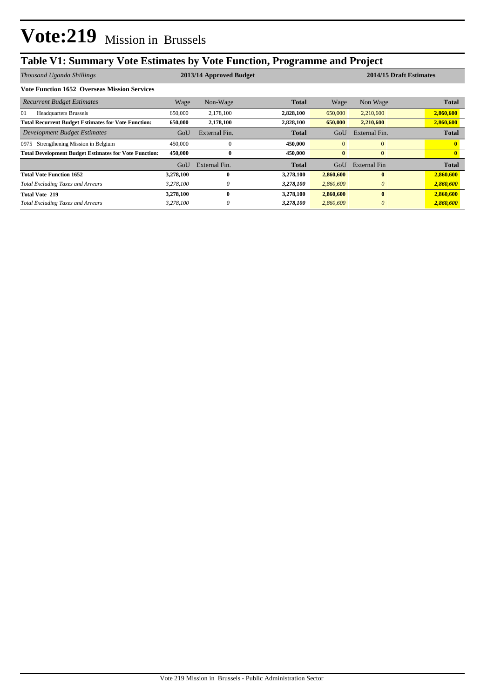# **Table V1: Summary Vote Estimates by Vote Function, Programme and Project**

| Thousand Uganda Shillings                                    |           | 2013/14 Approved Budget |              |              | 2014/15 Draft Estimates |              |  |
|--------------------------------------------------------------|-----------|-------------------------|--------------|--------------|-------------------------|--------------|--|
| <b>Vote Function 1652 Overseas Mission Services</b>          |           |                         |              |              |                         |              |  |
| <b>Recurrent Budget Estimates</b>                            | Wage      | Non-Wage                | <b>Total</b> | Wage         | Non Wage                | <b>Total</b> |  |
| 01<br><b>Headquarters Brussels</b>                           | 650,000   | 2,178,100               | 2,828,100    | 650,000      | 2,210,600               | 2,860,600    |  |
| <b>Total Recurrent Budget Estimates for Vote Function:</b>   | 650,000   | 2,178,100               | 2,828,100    | 650,000      | 2,210,600               | 2,860,600    |  |
| Development Budget Estimates                                 | GoU       | External Fin.           | <b>Total</b> | GoU          | External Fin.           | <b>Total</b> |  |
| Strengthening Mission in Belgium<br>0975                     | 450,000   | $\theta$                | 450,000      | $\mathbf{0}$ | $\overline{0}$          |              |  |
| <b>Total Development Budget Estimates for Vote Function:</b> | 450,000   | 0                       | 450,000      | $\bf{0}$     | $\bf{0}$                |              |  |
|                                                              | GoU       | External Fin.           | Total        | GoU          | External Fin            | <b>Total</b> |  |
| <b>Total Vote Function 1652</b>                              | 3,278,100 | 0                       | 3,278,100    | 2,860,600    | $\mathbf{0}$            | 2,860,600    |  |
| <b>Total Excluding Taxes and Arrears</b>                     | 3,278,100 | 0                       | 3,278,100    | 2,860,600    | $\theta$                | 2,860,600    |  |
| <b>Total Vote 219</b>                                        | 3,278,100 | 0                       | 3,278,100    | 2,860,600    | $\mathbf{0}$            | 2,860,600    |  |
| <b>Total Excluding Taxes and Arrears</b>                     | 3,278,100 | 0                       | 3,278,100    | 2,860,600    | $\theta$                | 2,860,600    |  |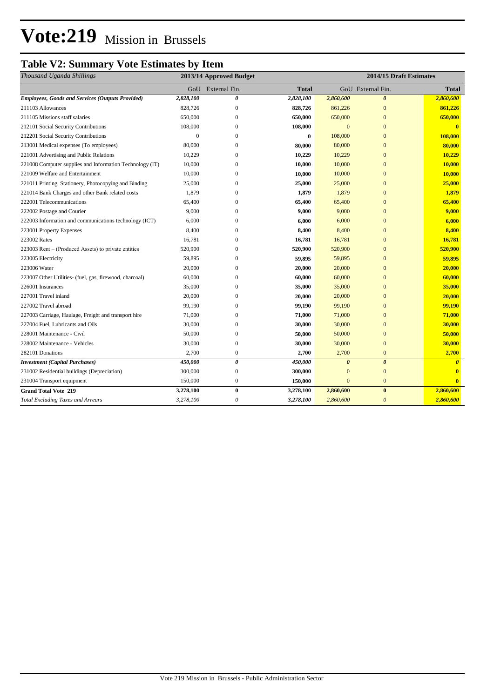# **Vote:219** Mission in Brussels

### **Table V2: Summary Vote Estimates by Item**

| Thousand Uganda Shillings                                | 2013/14 Approved Budget |                       |           | 2014/15 Draft Estimates |                       |              |
|----------------------------------------------------------|-------------------------|-----------------------|-----------|-------------------------|-----------------------|--------------|
|                                                          | GoU                     | External Fin.         | Total     |                         | GoU External Fin.     | Total        |
| <b>Employees, Goods and Services (Outputs Provided)</b>  | 2,828,100               | 0                     | 2,828,100 | 2,860,600               | $\boldsymbol{\theta}$ | 2,860,600    |
| 211103 Allowances                                        | 828,726                 | $\mathbf{0}$          | 828,726   | 861,226                 | $\mathbf{0}$          | 861,226      |
| 211105 Missions staff salaries                           | 650,000                 | $\mathbf{0}$          | 650,000   | 650,000                 | $\Omega$              | 650,000      |
| 212101 Social Security Contributions                     | 108,000                 | $\mathbf{0}$          | 108,000   | $\overline{0}$          | $\mathbf{0}$          | $\mathbf{0}$ |
| 212201 Social Security Contributions                     | $\mathbf{0}$            | $\Omega$              | $\bf{0}$  | 108,000                 | $\overline{0}$        | 108,000      |
| 213001 Medical expenses (To employees)                   | 80,000                  | $\Omega$              | 80,000    | 80,000                  | $\overline{0}$        | 80,000       |
| 221001 Advertising and Public Relations                  | 10,229                  | $\Omega$              | 10,229    | 10,229                  | $\overline{0}$        | 10,229       |
| 221008 Computer supplies and Information Technology (IT) | 10,000                  | $\Omega$              | 10,000    | 10,000                  | $\overline{0}$        | 10,000       |
| 221009 Welfare and Entertainment                         | 10,000                  | $\mathbf{0}$          | 10,000    | 10,000                  | $\overline{0}$        | 10,000       |
| 221011 Printing, Stationery, Photocopying and Binding    | 25,000                  | $\mathbf{0}$          | 25,000    | 25,000                  | $\overline{0}$        | 25,000       |
| 221014 Bank Charges and other Bank related costs         | 1,879                   | $\mathbf{0}$          | 1,879     | 1,879                   | $\overline{0}$        | 1,879        |
| 222001 Telecommunications                                | 65,400                  | $\mathbf{0}$          | 65,400    | 65,400                  | $\overline{0}$        | 65,400       |
| 222002 Postage and Courier                               | 9,000                   | $\mathbf{0}$          | 9,000     | 9,000                   | $\overline{0}$        | 9,000        |
| 222003 Information and communications technology (ICT)   | 6,000                   | $\mathbf{0}$          | 6,000     | 6,000                   | $\overline{0}$        | 6,000        |
| 223001 Property Expenses                                 | 8,400                   | $\mathbf{0}$          | 8,400     | 8,400                   | $\overline{0}$        | 8,400        |
| 223002 Rates                                             | 16,781                  | $\mathbf{0}$          | 16,781    | 16,781                  | $\overline{0}$        | 16,781       |
| 223003 Rent - (Produced Assets) to private entities      | 520,900                 | $\overline{0}$        | 520,900   | 520,900                 | $\mathbf{0}$          | 520,900      |
| 223005 Electricity                                       | 59,895                  | $\overline{0}$        | 59,895    | 59,895                  | $\mathbf{0}$          | 59,895       |
| 223006 Water                                             | 20,000                  | 0                     | 20,000    | 20,000                  | $\mathbf{0}$          | 20,000       |
| 223007 Other Utilities- (fuel, gas, firewood, charcoal)  | 60,000                  | $\mathbf{0}$          | 60,000    | 60,000                  | $\mathbf{0}$          | 60,000       |
| 226001 Insurances                                        | 35,000                  | $\boldsymbol{0}$      | 35,000    | 35,000                  | $\mathbf{0}$          | 35,000       |
| 227001 Travel inland                                     | 20,000                  | $\mathbf{0}$          | 20,000    | 20,000                  | $\mathbf{0}$          | 20,000       |
| 227002 Travel abroad                                     | 99,190                  | $\mathbf{0}$          | 99,190    | 99,190                  | $\mathbf{0}$          | 99,190       |
| 227003 Carriage, Haulage, Freight and transport hire     | 71,000                  | $\mathbf{0}$          | 71,000    | 71,000                  | $\mathbf{0}$          | 71,000       |
| 227004 Fuel, Lubricants and Oils                         | 30,000                  | $\mathbf{0}$          | 30,000    | 30,000                  | $\mathbf{0}$          | 30,000       |
| 228001 Maintenance - Civil                               | 50,000                  | $\mathbf{0}$          | 50,000    | 50,000                  | $\overline{0}$        | 50,000       |
| 228002 Maintenance - Vehicles                            | 30,000                  | $\mathbf{0}$          | 30,000    | 30,000                  | $\overline{0}$        | 30,000       |
| 282101 Donations                                         | 2,700                   | $\mathbf{0}$          | 2,700     | 2,700                   | $\mathbf{0}$          | 2,700        |
| <b>Investment</b> (Capital Purchases)                    | 450,000                 | $\boldsymbol{\theta}$ | 450,000   | $\boldsymbol{\theta}$   | $\theta$              | $\theta$     |
| 231002 Residential buildings (Depreciation)              | 300,000                 | $\boldsymbol{0}$      | 300,000   | $\Omega$                | $\overline{0}$        | $\mathbf{0}$ |
| 231004 Transport equipment                               | 150,000                 | $\mathbf{0}$          | 150,000   | $\overline{0}$          | $\mathbf{0}$          | $\mathbf{0}$ |
| <b>Grand Total Vote 219</b>                              | 3,278,100               | $\bf{0}$              | 3,278,100 | 2,860,600               | $\bf{0}$              | 2,860,600    |
| <b>Total Excluding Taxes and Arrears</b>                 | 3,278,100               | $\theta$              | 3,278,100 | 2,860,600               | $\theta$              | 2,860,600    |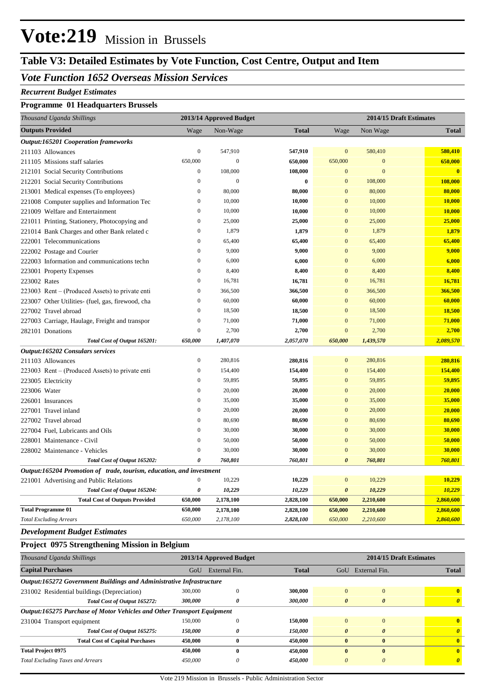# **Vote:219** Mission in Brussels

## **Table V3: Detailed Estimates by Vote Function, Cost Centre, Output and Item**

#### *Vote Function 1652 Overseas Mission Services*

#### *Recurrent Budget Estimates*

#### **Programme 01 Headquarters Brussels**

| Thousand Uganda Shillings                                            | 2013/14 Approved Budget |                  |              | 2014/15 Draft Estimates |              |              |
|----------------------------------------------------------------------|-------------------------|------------------|--------------|-------------------------|--------------|--------------|
| <b>Outputs Provided</b>                                              | Wage                    | Non-Wage         | <b>Total</b> | Wage                    | Non Wage     | <b>Total</b> |
| Output:165201 Cooperation frameworks                                 |                         |                  |              |                         |              |              |
| 211103 Allowances                                                    | $\boldsymbol{0}$        | 547,910          | 547,910      | $\mathbf{0}$            | 580,410      | 580,410      |
| 211105 Missions staff salaries                                       | 650,000                 | $\boldsymbol{0}$ | 650,000      | 650,000                 | $\mathbf{0}$ | 650,000      |
| 212101 Social Security Contributions                                 | $\boldsymbol{0}$        | 108,000          | 108,000      | $\boldsymbol{0}$        | $\mathbf{0}$ | $\bf{0}$     |
| 212201 Social Security Contributions                                 | $\boldsymbol{0}$        | $\mathbf{0}$     | $\bf{0}$     | $\mathbf{0}$            | 108,000      | 108,000      |
| 213001 Medical expenses (To employees)                               | $\boldsymbol{0}$        | 80,000           | 80,000       | $\mathbf{0}$            | 80,000       | 80,000       |
| 221008 Computer supplies and Information Tec                         | $\boldsymbol{0}$        | 10,000           | 10,000       | $\mathbf{0}$            | 10,000       | 10,000       |
| 221009 Welfare and Entertainment                                     | $\mathbf{0}$            | 10,000           | 10,000       | $\mathbf{0}$            | 10,000       | 10,000       |
| 221011 Printing, Stationery, Photocopying and                        | $\mathbf{0}$            | 25,000           | 25,000       | $\mathbf{0}$            | 25,000       | 25,000       |
| 221014 Bank Charges and other Bank related c                         | $\boldsymbol{0}$        | 1,879            | 1,879        | $\mathbf{0}$            | 1,879        | 1,879        |
| 222001 Telecommunications                                            | $\boldsymbol{0}$        | 65,400           | 65,400       | $\mathbf{0}$            | 65,400       | 65,400       |
| 222002 Postage and Courier                                           | $\mathbf{0}$            | 9,000            | 9,000        | $\overline{0}$          | 9,000        | 9,000        |
| 222003 Information and communications techn                          | $\boldsymbol{0}$        | 6,000            | 6,000        | $\mathbf{0}$            | 6,000        | 6,000        |
| 223001 Property Expenses                                             | $\boldsymbol{0}$        | 8,400            | 8,400        | $\mathbf{0}$            | 8,400        | 8,400        |
| 223002 Rates                                                         | $\boldsymbol{0}$        | 16,781           | 16,781       | $\mathbf{0}$            | 16,781       | 16,781       |
| 223003 Rent – (Produced Assets) to private enti                      | $\boldsymbol{0}$        | 366,500          | 366,500      | $\mathbf{0}$            | 366,500      | 366,500      |
| 223007 Other Utilities- (fuel, gas, firewood, cha                    | $\mathbf{0}$            | 60,000           | 60,000       | $\mathbf{0}$            | 60,000       | 60,000       |
| 227002 Travel abroad                                                 | $\boldsymbol{0}$        | 18,500           | 18,500       | $\mathbf{0}$            | 18,500       | 18,500       |
| 227003 Carriage, Haulage, Freight and transpor                       | $\boldsymbol{0}$        | 71,000           | 71,000       | $\mathbf{0}$            | 71,000       | 71,000       |
| 282101 Donations                                                     | $\boldsymbol{0}$        | 2,700            | 2,700        | $\mathbf{0}$            | 2,700        | 2,700        |
| Total Cost of Output 165201:                                         | 650,000                 | 1,407,070        | 2,057,070    | 650,000                 | 1,439,570    | 2,089,570    |
| Output:165202 Consulars services                                     |                         |                  |              |                         |              |              |
| 211103 Allowances                                                    | $\boldsymbol{0}$        | 280,816          | 280,816      | $\boldsymbol{0}$        | 280,816      | 280,816      |
| 223003 Rent – (Produced Assets) to private enti                      | $\boldsymbol{0}$        | 154,400          | 154,400      | $\mathbf{0}$            | 154,400      | 154,400      |
| 223005 Electricity                                                   | $\boldsymbol{0}$        | 59,895           | 59,895       | $\mathbf{0}$            | 59,895       | 59,895       |
| 223006 Water                                                         | $\boldsymbol{0}$        | 20,000           | 20,000       | $\mathbf{0}$            | 20,000       | 20,000       |
| 226001 Insurances                                                    | $\boldsymbol{0}$        | 35,000           | 35,000       | $\mathbf{0}$            | 35,000       | 35,000       |
| 227001 Travel inland                                                 | $\mathbf{0}$            | 20,000           | 20,000       | $\mathbf{0}$            | 20,000       | 20,000       |
| 227002 Travel abroad                                                 | $\boldsymbol{0}$        | 80,690           | 80,690       | $\mathbf{0}$            | 80,690       | 80,690       |
| 227004 Fuel, Lubricants and Oils                                     | $\boldsymbol{0}$        | 30,000           | 30,000       | $\mathbf{0}$            | 30,000       | 30,000       |
| 228001 Maintenance - Civil                                           | $\boldsymbol{0}$        | 50,000           | 50,000       | $\boldsymbol{0}$        | 50,000       | 50,000       |
| 228002 Maintenance - Vehicles                                        | $\boldsymbol{0}$        | 30,000           | 30,000       | $\mathbf{0}$            | 30,000       | 30,000       |
| Total Cost of Output 165202:                                         | $\boldsymbol{\theta}$   | 760,801          | 760,801      | $\boldsymbol{\theta}$   | 760,801      | 760,801      |
| Output:165204 Promotion of trade, tourism, education, and investment |                         |                  |              |                         |              |              |
| 221001 Advertising and Public Relations                              | $\boldsymbol{0}$        | 10,229           | 10,229       | $\boldsymbol{0}$        | 10,229       | 10,229       |
| Total Cost of Output 165204:                                         | 0                       | 10,229           | 10,229       | $\boldsymbol{\theta}$   | 10,229       | 10,229       |
| <b>Total Cost of Outputs Provided</b>                                | 650,000                 | 2,178,100        | 2,828,100    | 650,000                 | 2,210,600    | 2,860,600    |
| <b>Total Programme 01</b>                                            | 650,000                 | 2,178,100        | 2,828,100    | 650,000                 | 2,210,600    | 2,860,600    |
| <b>Total Excluding Arrears</b>                                       | 650,000                 | 2,178,100        | 2,828,100    | 650,000                 | 2,210,600    | 2,860,600    |

#### *Development Budget Estimates*

#### **Project 0975 Strengthening Mission in Belgium**

| Thousand Uganda Shillings                                                     | 2013/14 Approved Budget |               |              |                       | 2014/15 Draft Estimates |                       |  |  |
|-------------------------------------------------------------------------------|-------------------------|---------------|--------------|-----------------------|-------------------------|-----------------------|--|--|
| <b>Capital Purchases</b>                                                      | GoU                     | External Fin. | <b>Total</b> | GoU                   | External Fin.           | <b>Total</b>          |  |  |
| Output:165272 Government Buildings and Administrative Infrastructure          |                         |               |              |                       |                         |                       |  |  |
| 231002 Residential buildings (Depreciation)                                   | 300,000                 | $\theta$      | 300,000      | $\mathbf{0}$          | $\mathbf{0}$            | $\mathbf{0}$          |  |  |
| Total Cost of Output 165272:                                                  | 300,000                 | 0             | 300,000      | $\boldsymbol{\theta}$ | $\boldsymbol{\theta}$   | $\boldsymbol{\theta}$ |  |  |
| <b>Output:165275 Purchase of Motor Vehicles and Other Transport Equipment</b> |                         |               |              |                       |                         |                       |  |  |
| 231004 Transport equipment                                                    | 150,000                 | $\Omega$      | 150,000      | $\Omega$              | $\Omega$                | $\mathbf{0}$          |  |  |
| Total Cost of Output 165275:                                                  | 150,000                 | 0             | 150,000      | $\theta$              | $\theta$                | $\theta$              |  |  |
| <b>Total Cost of Capital Purchases</b>                                        | 450,000                 | $\mathbf{0}$  | 450,000      | $\mathbf{0}$          | $\mathbf{0}$            |                       |  |  |
| <b>Total Project 0975</b>                                                     | 450,000                 | $\mathbf{0}$  | 450,000      | $\mathbf{0}$          | $\mathbf{0}$            | $\mathbf{0}$          |  |  |
| <b>Total Excluding Taxes and Arrears</b>                                      | 450,000                 | 0             | 450,000      | $\theta$              | 0                       | $\theta$              |  |  |